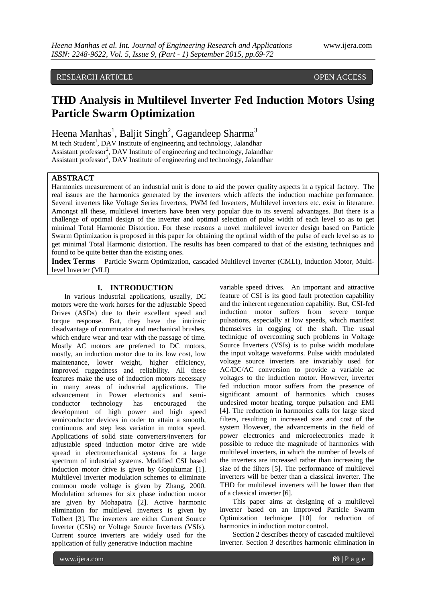## RESEARCH ARTICLE **CONSERVERS** OPEN ACCESS

# **THD Analysis in Multilevel Inverter Fed Induction Motors Using Particle Swarm Optimization**

Heena Manhas<sup>1</sup>, Baljit Singh<sup>2</sup>, Gagandeep Sharma<sup>3</sup>

M tech Student<sup>1</sup>, DAV Institute of engineering and technology, Jalandhar Assistant professor<sup>2</sup>, DAV Institute of engineering and technology, Jalandhar Assistant professor<sup>3</sup>, DAV Institute of engineering and technology, Jalandhar

## **ABSTRACT**

Harmonics measurement of an industrial unit is done to aid the power quality aspects in a typical factory. The real issues are the harmonics generated by the inverters which affects the induction machine performance. Several inverters like Voltage Series Inverters, PWM fed Inverters, Multilevel inverters etc. exist in literature. Amongst all these, multilevel inverters have been very popular due to its several advantages. But there is a challenge of optimal design of the inverter and optimal selection of pulse width of each level so as to get minimal Total Harmonic Distortion. For these reasons a novel multilevel inverter design based on Particle Swarm Optimization is proposed in this paper for obtaining the optimal width of the pulse of each level so as to get minimal Total Harmonic distortion. The results has been compared to that of the existing techniques and found to be quite better than the existing ones.

**Index Terms**— Particle Swarm Optimization, cascaded Multilevel Inverter (CMLI), Induction Motor, Multilevel Inverter (MLI)

#### **I. INTRODUCTION**

In various industrial applications, usually, DC motors were the work horses for the adjustable Speed Drives (ASDs) due to their excellent speed and torque response. But, they have the intrinsic disadvantage of commutator and mechanical brushes, which endure wear and tear with the passage of time. Mostly AC motors are preferred to DC motors, mostly, an induction motor due to its low cost, low maintenance, lower weight, higher efficiency, improved ruggedness and reliability. All these features make the use of induction motors necessary in many areas of industrial applications. The advancement in Power electronics and semiconductor technology has encouraged the development of high power and high speed semiconductor devices in order to attain a smooth, continuous and step less variation in motor speed. Applications of solid state converters/inverters for adjustable speed induction motor drive are wide spread in electromechanical systems for a large spectrum of industrial systems. Modified CSI based induction motor drive is given by Gopukumar [1]. Multilevel inverter modulation schemes to eliminate common mode voltage is given by Zhang, 2000. Modulation schemes for six phase induction motor are given by Mohapatra [2]. Active harmonic elimination for multilevel inverters is given by Tolbert [3]. The inverters are either Current Source Inverter (CSIs) or Voltage Source Inverters (VSIs). Current source inverters are widely used for the application of fully generative induction machine

variable speed drives. An important and attractive feature of CSI is its good fault protection capability and the inherent regeneration capability. But, CSI-fed induction motor suffers from severe torque pulsations, especially at low speeds, which manifest themselves in cogging of the shaft. The usual technique of overcoming such problems in Voltage Source Inverters (VSIs) is to pulse width modulate the input voltage waveforms. Pulse width modulated voltage source inverters are invariably used for AC/DC/AC conversion to provide a variable ac voltages to the induction motor. However, inverter fed induction motor suffers from the presence of significant amount of harmonics which causes undesired motor heating, torque pulsation and EMI [4]. The reduction in harmonics calls for large sized filters, resulting in increased size and cost of the system However, the advancements in the field of power electronics and microelectronics made it possible to reduce the magnitude of harmonics with multilevel inverters, in which the number of levels of the inverters are increased rather than increasing the size of the filters [5]. The performance of multilevel inverters will be better than a classical inverter. The THD for multilevel inverters will be lower than that of a classical inverter [6].

This paper aims at designing of a multilevel inverter based on an Improved Particle Swarm Optimization technique [10] for reduction of harmonics in induction motor control.

Section 2 describes theory of cascaded multilevel inverter. Section 3 describes harmonic elimination in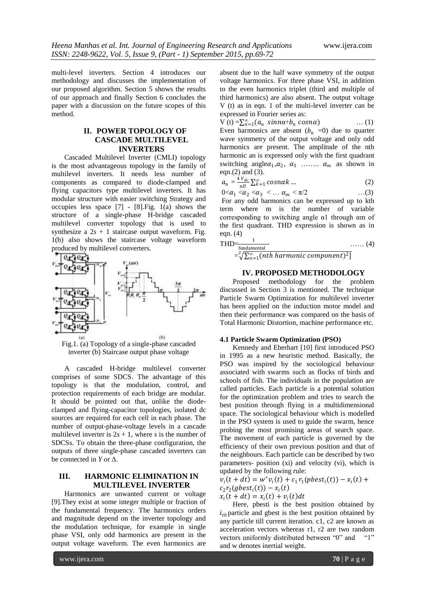multi-level inverters. Section 4 introduces our methodology and discusses the implementation of our proposed algorithm. Section 5 shows the results of our approach and finally Section 6 concludes the paper with a discussion on the future scopes of this method.

## **II. POWER TOPOLOGY OF CASCADE MULTILEVEL INVERTERS**

Cascaded Multilevel Inverter (CMLI) topology is the most advantageous topology in the family of multilevel inverters. It needs less number of components as compared to diode-clamped and flying capacitors type multilevel inverters. It has modular structure with easier switching Strategy and occupies less space [7] - [8].Fig. 1(a) shows the structure of a single-phase H-bridge cascaded multilevel converter topology that is used to synthesize a  $2s + 1$  staircase output waveform. Fig. 1(b) also shows the staircase voltage waveform produced by multilevel converters.



Fig.1. (a) Topology of a single-phase cascaded inverter (b) Staircase output phase voltage

A cascaded H-bridge multilevel converter comprises of some SDCS. The advantage of this topology is that the modulation, control, and protection requirements of each bridge are modular. It should be pointed out that, unlike the diodeclamped and flying-capacitor topologies, isolated dc sources are required for each cell in each phase. The number of output-phase-voltage levels in a cascade multilevel inverter is  $2s + 1$ , where *s* is the number of SDCSs. To obtain the three-phase configuration, the outputs of three single-phase cascaded inverters can be connected in *Y* or  $\Delta$ .

## **III. HARMONIC ELIMINATION IN MULTILEVEL INVERTER**

Harmonics are unwanted current or voltage [9].They exist at some integer multiple or fraction of the fundamental frequency. The harmonics orders and magnitude depend on the inverter topology and the modulation technique, for example in single phase VSI, only odd harmonics are present in the output voltage waveform. The even harmonics are

absent due to the half wave symmetry of the output voltage harmonics. For three phase VSI, in addition to the even harmonics triplet (third and multiple of third harmonics) are also absent. The output voltage V (t) as in eqn. 1 of the multi-level inverter can be expressed in Fourier series as:

 $V(t) = \sum_{n=1}^{\infty} (a_n \sin n\alpha + b_n \cos n\alpha)$  ... (1) Even harmonics are absent  $(b_n = 0)$  due to quarter wave symmetry of the output voltage and only odd harmonics are present. The amplitude of the nth harmonic an is expressed only with the first quadrant switching angle  $\alpha_1, \alpha_2, \alpha_3$  .......  $\alpha_m$  as shown in eqn. $(2)$  and  $(3)$ .

$$
a_n = \frac{4 V_{dc}}{nI} \sum_{k=1}^{\infty} \cos n\alpha k \dots \tag{2}
$$

 $0 < \alpha_1 < \alpha_2 < \alpha_3 < ... \alpha_m < \pi/2$  ...(3)

For any odd harmonics can be expressed up to kth term where m is the number of variable corresponding to switching angle α1 through αm of the first quadrant. THD expression is shown as in eqn. (4)

$$
\text{THD} = \frac{1}{\text{fundamental}}
$$
\n
$$
= \sqrt[2]{\sum_{n=1}^{\infty} (nth harmonic component)^2}
$$
\n(4)

#### **IV. PROPOSED METHODOLOGY**

Proposed methodology for the problem discussed in Section 3 is mentioned. The technique Particle Swarm Optimization for multilevel inverter has been applied on the induction motor model and then their performance was compared on the basis of Total Harmonic Distortion, machine performance etc.

#### **4.1 Particle Swarm Optimization (PSO)**

Kennedy and Eberhart [10] first introduced PSO in 1995 as a new heuristic method. Basically, the PSO was inspired by the sociological behaviour associated with swarms such as flocks of birds and schools of fish. The individuals in the population are called particles. Each particle is a potential solution for the optimization problem and tries to search the best position through flying in a multidimensional space. The sociological behaviour which is modelled in the PSO system is used to guide the swarm, hence probing the most promising areas of search space. The movement of each particle is governed by the efficiency of their own previous position and that of the neighbours. Each particle can be described by two parameters- position (xi) and velocity (vi), which is updated by the following rule:

 $v_i(t + dt) = w^* v_i(t) + c_1 r_1 (pbest_i(t)) - x_i(t) +$  $c_2r_2(gbest_i(t)) - x_i(t)$ 

 $x_i(t + dt) = x_i(t) + v_i(t)dt$ 

Here, pbesti is the best position obtained by  $i_{th}$  particle and gbest is the best position obtained by any particle till current iteration. c1, c2 are known as acceleration vectors whereas r1, r2 are two random vectors uniformly distributed between "0" and "1" and w denotes inertial weight.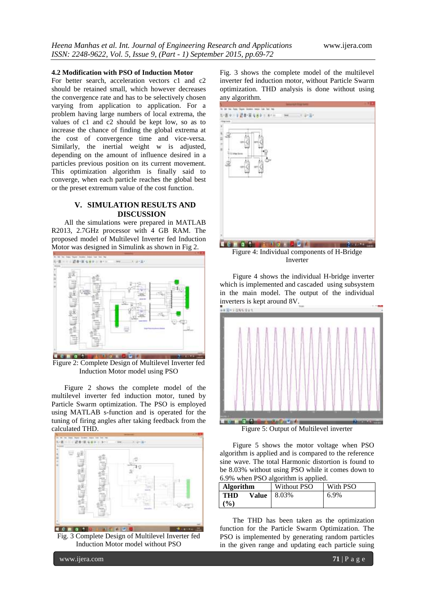#### **4.2 Modification with PSO of Induction Motor**

For better search, acceleration vectors c1 and c2 should be retained small, which however decreases the convergence rate and has to be selectively chosen varying from application to application. For a problem having large numbers of local extrema, the values of c1 and c2 should be kept low, so as to increase the chance of finding the global extrema at the cost of convergence time and vice-versa. Similarly, the inertial weight w is adjusted, depending on the amount of influence desired in a particles previous position on its current movement. This optimization algorithm is finally said to converge, when each particle reaches the global best or the preset extremum value of the cost function.

## **V. SIMULATION RESULTS AND DISCUSSION**

All the simulations were prepared in MATLAB R2013, 2.7GHz processor with 4 GB RAM. The proposed model of Multilevel Inverter fed Induction Motor was designed in Simulink as shown in Fig 2.



Figure 2: Complete Design of Multilevel Inverter fed Induction Motor model using PSO

Figure 2 shows the complete model of the multilevel inverter fed induction motor, tuned by Particle Swarm optimization. The PSO is employed using MATLAB s-function and is operated for the tuning of firing angles after taking feedback from the calculated THD.



Fig. 3 Complete Design of Multilevel Inverter fed Induction Motor model without PSO

Fig. 3 shows the complete model of the multilevel inverter fed induction motor, without Particle Swarm optimization. THD analysis is done without using any algorithm.



Figure 4: Individual components of H-Bridge Inverter

Figure 4 shows the individual H-bridge inverter which is implemented and cascaded using subsystem in the main model. The output of the individual inverters is kept around 8V.



Figure 5: Output of Multilevel inverter

Figure 5 shows the motor voltage when PSO algorithm is applied and is compared to the reference sine wave. The total Harmonic distortion is found to be 8.03% without using PSO while it comes down to 6.9% when PSO algorithm is applied.

| <b>Algorithm</b>                         | Without PSO | With PSO |
|------------------------------------------|-------------|----------|
| <b>THD</b><br>Value  <br>$\mathcal{O}_0$ | 8.03%       | 6.9%     |

The THD has been taken as the optimization function for the Particle Swarm Optimization. The PSO is implemented by generating random particles in the given range and updating each particle suing

www.ijera.com **71** | P a g e